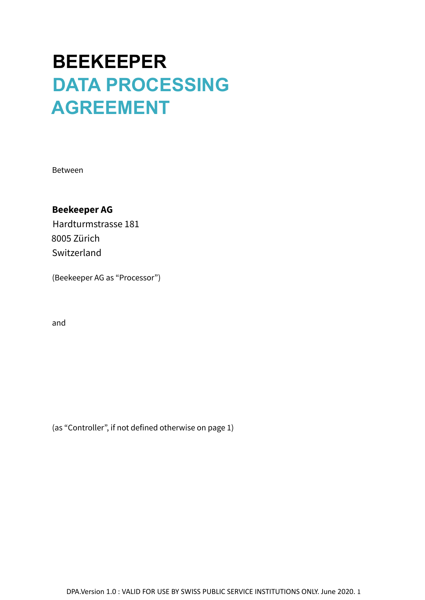# **BEEKEEPER DATA PROCESSING AGREEMENT**

Between

## **Beekeeper AG**

Hardturmstrasse 181 8005 Zürich Switzerland

(Beekeeper AG as "Processor")

and

(as "Controller", if not defined otherwise on page 1)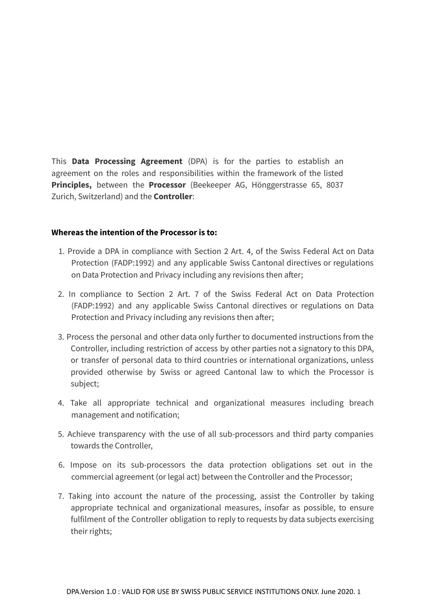This **Data Processing Agreement** (DPA) is for the parties to establish an agreement on the roles and responsibilities within the framework of the listed **Principles,** between the **Processor** (Beekeeper AG, Hönggerstrasse 65, 8037 Zurich, Switzerland) and the **Controller**:

#### **Whereas the intention of the Processor is to:**

- 1. Provide a DPA in compliance with Section 2 Art. 4, of the Swiss Federal Act on Data Protection (FADP:1992) and any applicable Swiss Cantonal directives or regulations on Data Protection and Privacy including any revisions then after;
- 2. In compliance to Section 2 Art. 7 of the Swiss Federal Act on Data Protection (FADP:1992) and any applicable Swiss Cantonal directives or regulations on Data Protection and Privacy including any revisions then after;
- 3. Process the personal and other data only further to documented instructions from the Controller, including restriction of access by other parties not a signatory to this DPA, or transfer of personal data to third countries or international organizations, unless provided otherwise by Swiss or agreed Cantonal law to which the Processor is subject;
- 4. Take all appropriate technical and organizational measures including breach management and notification;
- 5. Achieve transparency with the use of all sub-processors and third party companies towards the Controller,
- 6. Impose on its sub-processors the data protection obligations set out in the commercial agreement (or legal act) between the Controller and the Processor;
- 7. Taking into account the nature of the processing, assist the Controller by taking appropriate technical and organizational measures, insofar as possible, to ensure fulfilment of the Controller obligation to reply to requests by data subjects exercising their rights;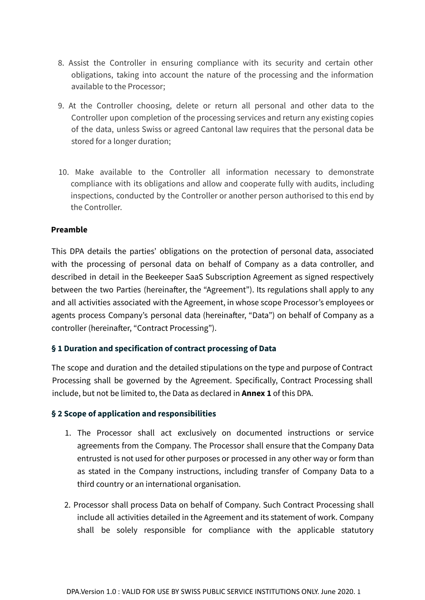- 8. Assist the Controller in ensuring compliance with its security and certain other obligations, taking into account the nature of the processing and the information available to the Processor;
- 9. At the Controller choosing, delete or return all personal and other data to the Controller upon completion of the processing services and return any existing copies of the data, unless Swiss or agreed Cantonal law requires that the personal data be stored for a longer duration;
- 10. Make available to the Controller all information necessary to demonstrate compliance with its obligations and allow and cooperate fully with audits, including inspections, conducted by the Controller or another person authorised to this end by the Controller.

#### **Preamble**

This DPA details the parties' obligations on the protection of personal data, associated with the processing of personal data on behalf of Company as a data controller, and described in detail in the Beekeeper SaaS Subscription Agreement as signed respectively between the two Parties (hereinafter, the "Agreement"). Its regulations shall apply to any and all activities associated with the Agreement, in whose scope Processor's employees or agents process Company's personal data (hereinafter, "Data") on behalf of Company as a controller (hereinafter, "Contract Processing").

#### **§ 1 Duration and specification of contract processing of Data**

The scope and duration and the detailed stipulations on the type and purpose of Contract Processing shall be governed by the Agreement. Specifically, Contract Processing shall include, but not be limited to, the Data as declared in **Annex 1** of this DPA.

#### **§ 2 Scope of application and responsibilities**

- 1. The Processor shall act exclusively on documented instructions or service agreements from the Company. The Processor shall ensure that the Company Data entrusted is not used for other purposes or processed in any other way or form than as stated in the Company instructions, including transfer of Company Data to a third country or an international organisation.
- 2. Processor shall process Data on behalf of Company. Such Contract Processing shall include all activities detailed in the Agreement and its statement of work. Company shall be solely responsible for compliance with the applicable statutory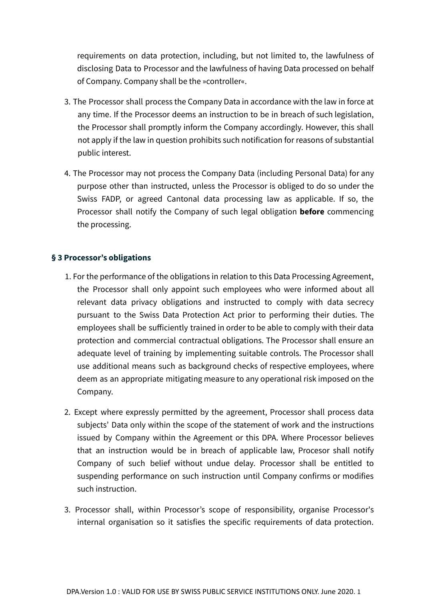requirements on data protection, including, but not limited to, the lawfulness of disclosing Data to Processor and the lawfulness of having Data processed on behalf of Company. Company shall be the »controller«.

- 3. The Processor shall process the Company Data in accordance with the law in force at any time. If the Processor deems an instruction to be in breach of such legislation, the Processor shall promptly inform the Company accordingly. However, this shall not apply if the law in question prohibits such notification for reasons of substantial public interest.
- 4. The Processor may not process the Company Data (including Personal Data) for any purpose other than instructed, unless the Processor is obliged to do so under the Swiss FADP, or agreed Cantonal data processing law as applicable. If so, the Processor shall notify the Company of such legal obligation **before** commencing the processing.

#### **§ 3 Processor's obligations**

- 1. For the performance of the obligations in relation to this Data Processing Agreement, the Processor shall only appoint such employees who were informed about all relevant data privacy obligations and instructed to comply with data secrecy pursuant to the Swiss Data Protection Act prior to performing their duties. The employees shall be sufficiently trained in order to be able to comply with their data protection and commercial contractual obligations. The Processor shall ensure an adequate level of training by implementing suitable controls. The Processor shall use additional means such as background checks of respective employees, where deem as an appropriate mitigating measure to any operational risk imposed on the Company.
- 2. Except where expressly permitted by the agreement, Processor shall process data subjects' Data only within the scope of the statement of work and the instructions issued by Company within the Agreement or this DPA. Where Processor believes that an instruction would be in breach of applicable law, Procesor shall notify Company of such belief without undue delay. Processor shall be entitled to suspending performance on such instruction until Company confirms or modifies such instruction.
- 3. Processor shall, within Processor's scope of responsibility, organise Processor's internal organisation so it satisfies the specific requirements of data protection.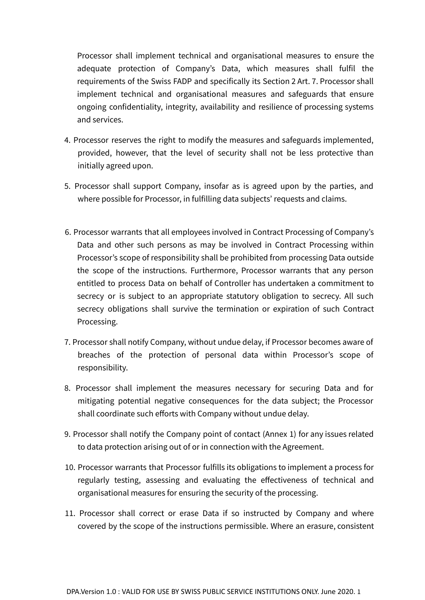Processor shall implement technical and organisational measures to ensure the adequate protection of Company's Data, which measures shall fulfil the requirements of the Swiss FADP and specifically its Section 2 Art. 7. Processor shall implement technical and organisational measures and safeguards that ensure ongoing confidentiality, integrity, availability and resilience of processing systems and services.

- 4. Processor reserves the right to modify the measures and safeguards implemented, provided, however, that the level of security shall not be less protective than initially agreed upon.
- 5. Processor shall support Company, insofar as is agreed upon by the parties, and where possible for Processor, in fulfilling data subjects' requests and claims.
- 6. Processor warrants that all employees involved in Contract Processing of Company's Data and other such persons as may be involved in Contract Processing within Processor's scope of responsibility shall be prohibited from processing Data outside the scope of the instructions. Furthermore, Processor warrants that any person entitled to process Data on behalf of Controller has undertaken a commitment to secrecy or is subject to an appropriate statutory obligation to secrecy. All such secrecy obligations shall survive the termination or expiration of such Contract Processing.
- 7. Processor shall notify Company, without undue delay, if Processor becomes aware of breaches of the protection of personal data within Processor's scope of responsibility.
- 8. Processor shall implement the measures necessary for securing Data and for mitigating potential negative consequences for the data subject; the Processor shall coordinate such efforts with Company without undue delay.
- 9. Processor shall notify the Company point of contact (Annex 1) for any issues related to data protection arising out of or in connection with the Agreement.
- 10. Processor warrants that Processor fulfills its obligations to implement a process for regularly testing, assessing and evaluating the effectiveness of technical and organisational measures for ensuring the security of the processing.
- 11. Processor shall correct or erase Data if so instructed by Company and where covered by the scope of the instructions permissible. Where an erasure, consistent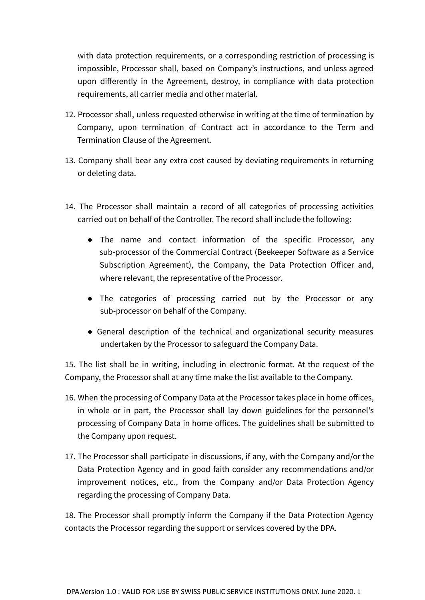with data protection requirements, or a corresponding restriction of processing is impossible, Processor shall, based on Company's instructions, and unless agreed upon differently in the Agreement, destroy, in compliance with data protection requirements, all carrier media and other material.

- 12. Processor shall, unless requested otherwise in writing at the time of termination by Company, upon termination of Contract act in accordance to the Term and Termination Clause of the Agreement.
- 13. Company shall bear any extra cost caused by deviating requirements in returning or deleting data.
- 14. The Processor shall maintain a record of all categories of processing activities carried out on behalf of the Controller. The record shall include the following:
	- The name and contact information of the specific Processor, any sub-processor of the Commercial Contract (Beekeeper Software as a Service Subscription Agreement), the Company, the Data Protection Officer and, where relevant, the representative of the Processor.
	- The categories of processing carried out by the Processor or any sub-processor on behalf of the Company.
	- General description of the technical and organizational security measures undertaken by the Processor to safeguard the Company Data.

15. The list shall be in writing, including in electronic format. At the request of the Company, the Processor shall at any time make the list available to the Company.

- 16. When the processing of Company Data at the Processor takes place in home offices, in whole or in part, the Processor shall lay down guidelines for the personnel's processing of Company Data in home offices. The guidelines shall be submitted to the Company upon request.
- 17. The Processor shall participate in discussions, if any, with the Company and/or the Data Protection Agency and in good faith consider any recommendations and/or improvement notices, etc., from the Company and/or Data Protection Agency regarding the processing of Company Data.

18. The Processor shall promptly inform the Company if the Data Protection Agency contacts the Processor regarding the support or services covered by the DPA.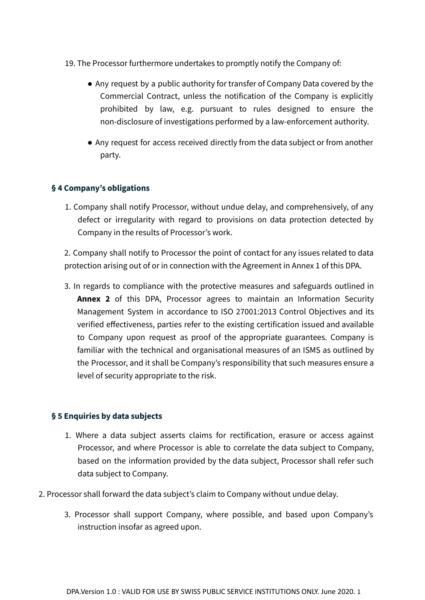#### 19. The Processor furthermore undertakes to promptly notify the Company of:

- Any request by a public authority for transfer of Company Data covered by the Commercial Contract, unless the notification of the Company is explicitly prohibited by law, e.g. pursuant to rules designed to ensure the non-disclosure of investigations performed by a law-enforcement authority.
- Any request for access received directly from the data subject or from another party.

#### **§ 4 Company's obligations**

1. Company shall notify Processor, without undue delay, and comprehensively, of any defect or irregularity with regard to provisions on data protection detected by Company in the results of Processor's work.

2. Company shall notify to Processor the point of contact for any issues related to data protection arising out of or in connection with the Agreement in Annex 1 of this DPA.

3. In regards to compliance with the protective measures and safeguards outlined in **Annex 2** of this DPA, Processor agrees to maintain an Information Security Management System in accordance to ISO 27001:2013 Control Objectives and its verified effectiveness, parties refer to the existing certification issued and available to Company upon request as proof of the appropriate guarantees. Company is familiar with the technical and organisational measures of an ISMS as outlined by the Processor, and it shall be Company's responsibility that such measures ensure a level of security appropriate to the risk.

#### **§ 5 Enquiries by data subjects**

- 1. Where a data subject asserts claims for rectification, erasure or access against Processor, and where Processor is able to correlate the data subject to Company, based on the information provided by the data subject, Processor shall refer such data subject to Company.
- 2. Processor shall forward the data subject's claim to Company without undue delay.
	- 3. Processor shall support Company, where possible, and based upon Company's instruction insofar as agreed upon.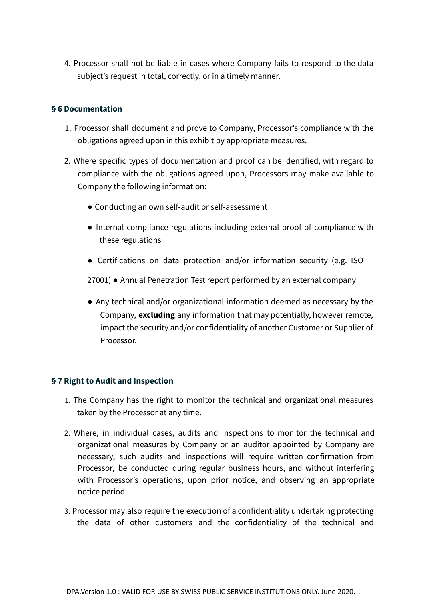4. Processor shall not be liable in cases where Company fails to respond to the data subject's request in total, correctly, or in a timely manner.

#### **§ 6 Documentation**

- 1. Processor shall document and prove to Company, Processor's compliance with the obligations agreed upon in this exhibit by appropriate measures.
- 2. Where specific types of documentation and proof can be identified, with regard to compliance with the obligations agreed upon, Processors may make available to Company the following information:
	- Conducting an own self-audit or self-assessment
	- Internal compliance regulations including external proof of compliance with these regulations
	- Certifications on data protection and/or information security (e.g. ISO

27001) ● Annual Penetration Test report performed by an external company

● Any technical and/or organizational information deemed as necessary by the Company, **excluding** any information that may potentially, however remote, impact the security and/or confidentiality of another Customer or Supplier of Processor.

#### **§ 7 Right to Audit and Inspection**

- 1. The Company has the right to monitor the technical and organizational measures taken by the Processor at any time.
- 2. Where, in individual cases, audits and inspections to monitor the technical and organizational measures by Company or an auditor appointed by Company are necessary, such audits and inspections will require written confirmation from Processor, be conducted during regular business hours, and without interfering with Processor's operations, upon prior notice, and observing an appropriate notice period.
- 3. Processor may also require the execution of a confidentiality undertaking protecting the data of other customers and the confidentiality of the technical and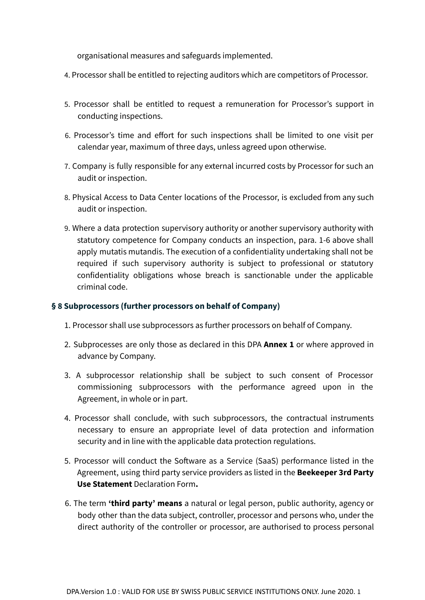organisational measures and safeguards implemented.

- 4. Processor shall be entitled to rejecting auditors which are competitors of Processor.
- 5. Processor shall be entitled to request a remuneration for Processor's support in conducting inspections.
- 6. Processor's time and effort for such inspections shall be limited to one visit per calendar year, maximum of three days, unless agreed upon otherwise.
- 7. Company is fully responsible for any external incurred costs by Processor for such an audit or inspection.
- 8. Physical Access to Data Center locations of the Processor, is excluded from any such audit or inspection.
- 9. Where a data protection supervisory authority or another supervisory authority with statutory competence for Company conducts an inspection, para. 1-6 above shall apply mutatis mutandis. The execution of a confidentiality undertaking shall not be required if such supervisory authority is subject to professional or statutory confidentiality obligations whose breach is sanctionable under the applicable criminal code.

#### **§ 8 Subprocessors (further processors on behalf of Company)**

- 1. Processor shall use subprocessors as further processors on behalf of Company.
- 2. Subprocesses are only those as declared in this DPA **Annex 1** or where approved in advance by Company.
- 3. A subprocessor relationship shall be subject to such consent of Processor commissioning subprocessors with the performance agreed upon in the Agreement, in whole or in part.
- 4. Processor shall conclude, with such subprocessors, the contractual instruments necessary to ensure an appropriate level of data protection and information security and in line with the applicable data protection regulations.
- 5. Processor will conduct the Software as a Service (SaaS) performance listed in the Agreement, using third party service providers as listed in the **Beekeeper 3rd Party Use Statement** Declaration Form**.**
- 6. The term **'third party' means** a natural or legal person, public authority, agency or body other than the data subject, controller, processor and persons who, under the direct authority of the controller or processor, are authorised to process personal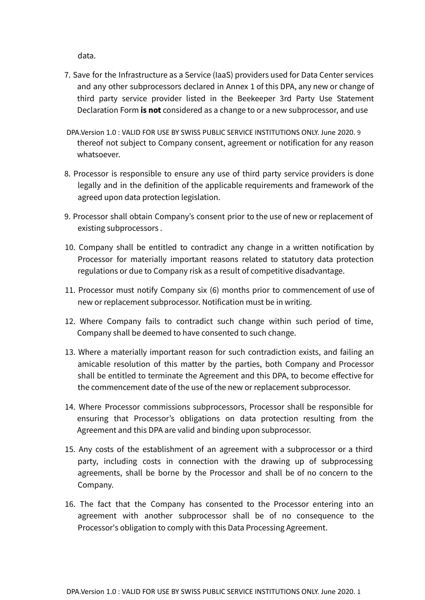data.

- 7. Save for the Infrastructure as a Service (IaaS) providers used for Data Center services and any other subprocessors declared in Annex 1 of this DPA, any new or change of third party service provider listed in the Beekeeper 3rd Party Use Statement Declaration Form **is not** considered as a change to or a new subprocessor, and use
- DPA.Version 1.0 : VALID FOR USE BY SWISS PUBLIC SERVICE INSTITUTIONS ONLY. June 2020. 9 thereof not subject to Company consent, agreement or notification for any reason whatsoever.
- 8. Processor is responsible to ensure any use of third party service providers is done legally and in the definition of the applicable requirements and framework of the agreed upon data protection legislation.
- 9. Processor shall obtain Company's consent prior to the use of new or replacement of existing subprocessors .
- 10. Company shall be entitled to contradict any change in a written notification by Processor for materially important reasons related to statutory data protection regulations or due to Company risk as a result of competitive disadvantage.
- 11. Processor must notify Company six (6) months prior to commencement of use of new or replacement subprocessor. Notification must be in writing.
- 12. Where Company fails to contradict such change within such period of time, Company shall be deemed to have consented to such change.
- 13. Where a materially important reason for such contradiction exists, and failing an amicable resolution of this matter by the parties, both Company and Processor shall be entitled to terminate the Agreement and this DPA, to become effective for the commencement date of the use of the new or replacement subprocessor.
- 14. Where Processor commissions subprocessors, Processor shall be responsible for ensuring that Processor's obligations on data protection resulting from the Agreement and this DPA are valid and binding upon subprocessor.
- 15. Any costs of the establishment of an agreement with a subprocessor or a third party, including costs in connection with the drawing up of subprocessing agreements, shall be borne by the Processor and shall be of no concern to the Company.
- 16. The fact that the Company has consented to the Processor entering into an agreement with another subprocessor shall be of no consequence to the Processor's obligation to comply with this Data Processing Agreement.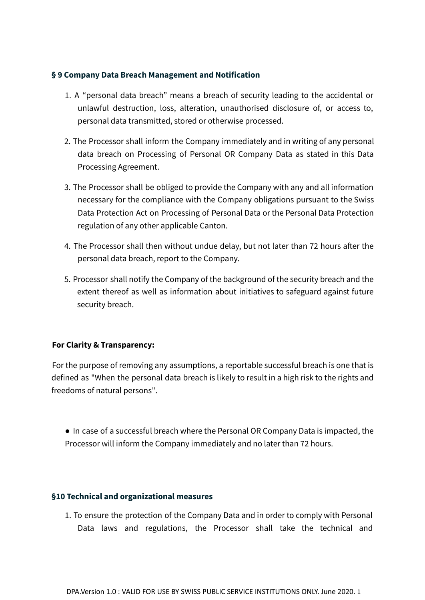#### **§ 9 Company Data Breach Management and Notification**

- 1. A "personal data breach" means a breach of security leading to the accidental or unlawful destruction, loss, alteration, unauthorised disclosure of, or access to, personal data transmitted, stored or otherwise processed.
- 2. The Processor shall inform the Company immediately and in writing of any personal data breach on Processing of Personal OR Company Data as stated in this Data Processing Agreement.
- 3. The Processor shall be obliged to provide the Company with any and all information necessary for the compliance with the Company obligations pursuant to the Swiss Data Protection Act on Processing of Personal Data or the Personal Data Protection regulation of any other applicable Canton.
- 4. The Processor shall then without undue delay, but not later than 72 hours after the personal data breach, report to the Company.
- 5. Processor shall notify the Company of the background of the security breach and the extent thereof as well as information about initiatives to safeguard against future security breach.

#### **For Clarity & Transparency:**

For the purpose of removing any assumptions, a reportable successful breach is one that is defined as "When the personal data breach is likely to result in a high risk to the rights and freedoms of natural persons".

● In case of a successful breach where the Personal OR Company Data is impacted, the Processor will inform the Company immediately and no later than 72 hours.

#### **§10 Technical and organizational measures**

1. To ensure the protection of the Company Data and in order to comply with Personal Data laws and regulations, the Processor shall take the technical and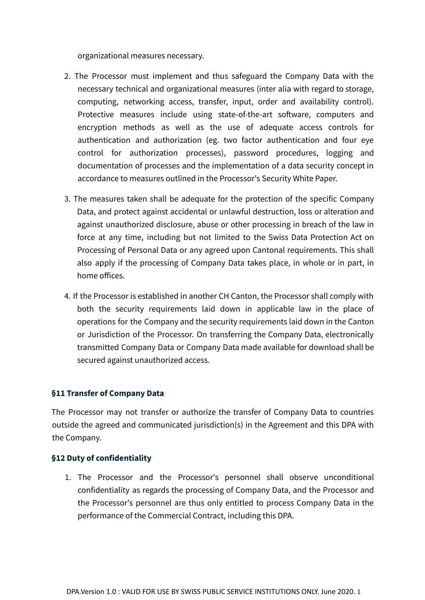organizational measures necessary.

- 2. The Processor must implement and thus safeguard the Company Data with the necessary technical and organizational measures (inter alia with regard to storage, computing, networking access, transfer, input, order and availability control). Protective measures include using state-of-the-art software, computers and encryption methods as well as the use of adequate access controls for authentication and authorization (eg. two factor authentication and four eye control for authorization processes), password procedures, logging and documentation of processes and the implementation of a data security concept in accordance to measures outlined in the Processor's Security White Paper.
- 3. The measures taken shall be adequate for the protection of the specific Company Data, and protect against accidental or unlawful destruction, loss or alteration and against unauthorized disclosure, abuse or other processing in breach of the law in force at any time, including but not limited to the Swiss Data Protection Act on Processing of Personal Data or any agreed upon Cantonal requirements. This shall also apply if the processing of Company Data takes place, in whole or in part, in home offices.
- 4. If the Processor is established in another CH Canton, the Processor shall comply with both the security requirements laid down in applicable law in the place of operations for the Company and the security requirements laid down in the Canton or Jurisdiction of the Processor. On transferring the Company Data, electronically transmitted Company Data or Company Data made available for download shall be secured against unauthorized access.

#### **§11 Transfer of Company Data**

The Processor may not transfer or authorize the transfer of Company Data to countries outside the agreed and communicated jurisdiction(s) in the Agreement and this DPA with the Company.

#### **§12 Duty of confidentiality**

1. The Processor and the Processor's personnel shall observe unconditional confidentiality as regards the processing of Company Data, and the Processor and the Processor's personnel are thus only entitled to process Company Data in the performance of the Commercial Contract, including this DPA.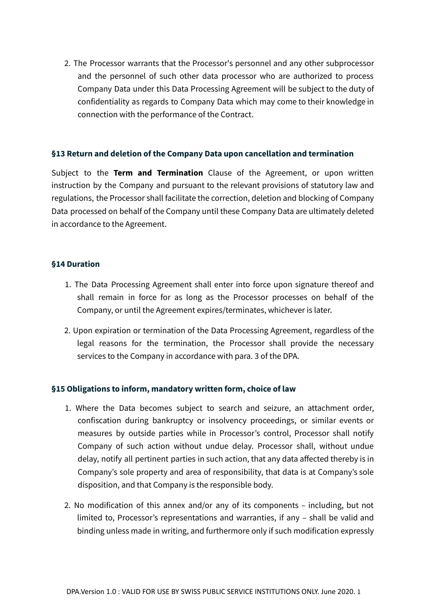2. The Processor warrants that the Processor's personnel and any other subprocessor and the personnel of such other data processor who are authorized to process Company Data under this Data Processing Agreement will be subject to the duty of confidentiality as regards to Company Data which may come to their knowledge in connection with the performance of the Contract.

#### **§13 Return and deletion of the Company Data upon cancellation and termination**

Subject to the **Term and Termination** Clause of the Agreement, or upon written instruction by the Company and pursuant to the relevant provisions of statutory law and regulations, the Processor shall facilitate the correction, deletion and blocking of Company Data processed on behalf of the Company until these Company Data are ultimately deleted in accordance to the Agreement.

#### **§14 Duration**

- 1. The Data Processing Agreement shall enter into force upon signature thereof and shall remain in force for as long as the Processor processes on behalf of the Company, or until the Agreement expires/terminates, whichever is later.
- 2. Upon expiration or termination of the Data Processing Agreement, regardless of the legal reasons for the termination, the Processor shall provide the necessary services to the Company in accordance with para. 3 of the DPA.

#### **§15 Obligations to inform, mandatory written form, choice of law**

- 1. Where the Data becomes subject to search and seizure, an attachment order, confiscation during bankruptcy or insolvency proceedings, or similar events or measures by outside parties while in Processor's control, Processor shall notify Company of such action without undue delay. Processor shall, without undue delay, notify all pertinent parties in such action, that any data affected thereby is in Company's sole property and area of responsibility, that data is at Company's sole disposition, and that Company is the responsible body.
- 2. No modification of this annex and/or any of its components including, but not limited to, Processor's representations and warranties, if any – shall be valid and binding unless made in writing, and furthermore only if such modification expressly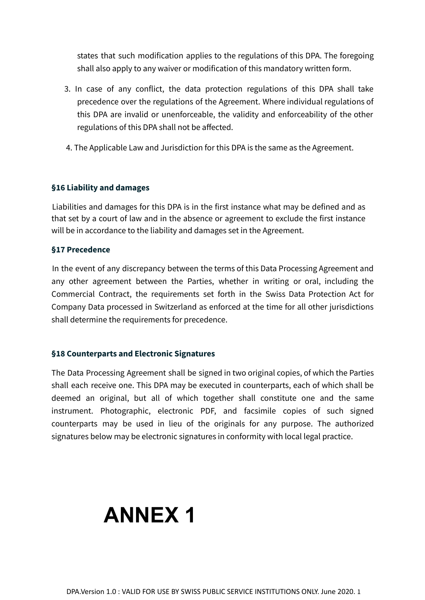states that such modification applies to the regulations of this DPA. The foregoing shall also apply to any waiver or modification of this mandatory written form.

- 3. In case of any conflict, the data protection regulations of this DPA shall take precedence over the regulations of the Agreement. Where individual regulations of this DPA are invalid or unenforceable, the validity and enforceability of the other regulations of this DPA shall not be affected.
- 4. The Applicable Law and Jurisdiction for this DPA is the same as the Agreement.

#### **§16 Liability and damages**

Liabilities and damages for this DPA is in the first instance what may be defined and as that set by a court of law and in the absence or agreement to exclude the first instance will be in accordance to the liability and damages set in the Agreement.

#### **§17 Precedence**

In the event of any discrepancy between the terms of this Data Processing Agreement and any other agreement between the Parties, whether in writing or oral, including the Commercial Contract, the requirements set forth in the Swiss Data Protection Act for Company Data processed in Switzerland as enforced at the time for all other jurisdictions shall determine the requirements for precedence.

#### **§18 Counterparts and Electronic Signatures**

The Data Processing Agreement shall be signed in two original copies, of which the Parties shall each receive one. This DPA may be executed in counterparts, each of which shall be deemed an original, but all of which together shall constitute one and the same instrument. Photographic, electronic PDF, and facsimile copies of such signed counterparts may be used in lieu of the originals for any purpose. The authorized signatures below may be electronic signatures in conformity with local legal practice.

# **ANNEX 1**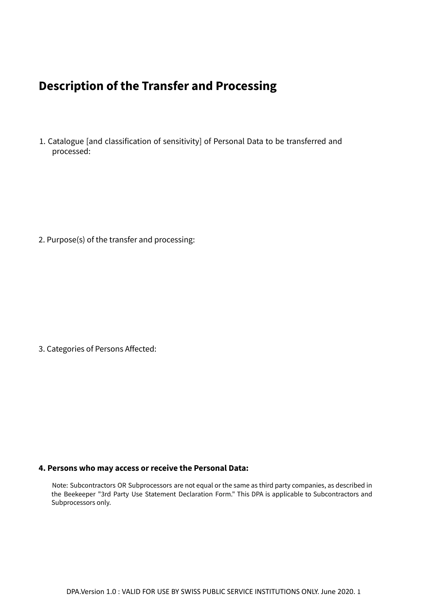# **Description of the Transfer and Processing**

1. Catalogue [and classification of sensitivity] of Personal Data to be transferred and processed:

2. Purpose(s) of the transfer and processing:

3. Categories of Persons Affected:

#### **4. Persons who may access or receive the Personal Data:**

Note: Subcontractors OR Subprocessors are not equal or the same as third party companies, as described in the Beekeeper "3rd Party Use Statement Declaration Form." This DPA is applicable to Subcontractors and Subprocessors only.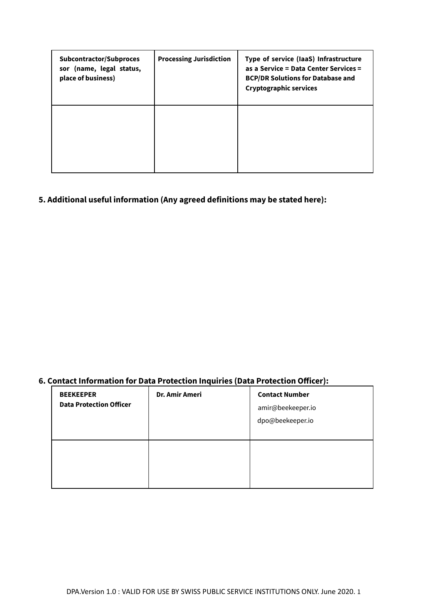| Subcontractor/Subproces<br>sor (name, legal status,<br>place of business) | <b>Processing Jurisdiction</b> | Type of service (laaS) Infrastructure<br>as a Service = Data Center Services =<br><b>BCP/DR Solutions for Database and</b><br><b>Cryptographic services</b> |
|---------------------------------------------------------------------------|--------------------------------|-------------------------------------------------------------------------------------------------------------------------------------------------------------|
|                                                                           |                                |                                                                                                                                                             |

### **5. Additional useful information (Any agreed definitions may be stated here):**

### **6. Contact Information for Data Protection Inquiries (Data Protection Officer):**

| <b>BEEKEEPER</b><br><b>Data Protection Officer</b> | Dr. Amir Ameri | <b>Contact Number</b><br>amir@beekeeper.io<br>dpo@beekeeper.io |
|----------------------------------------------------|----------------|----------------------------------------------------------------|
|                                                    |                |                                                                |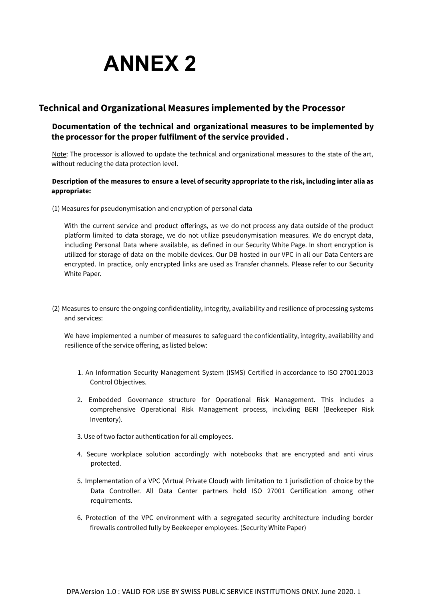

#### **Technical and Organizational Measures implemented by the Processor**

#### **Documentation of the technical and organizational measures to be implemented by the processor for the proper fulfilment of the service provided .**

Note: The processor is allowed to update the technical and organizational measures to the state of the art, without reducing the data protection level.

#### Description of the measures to ensure a level of security appropriate to the risk, including inter alia as **appropriate:**

(1) Measures for pseudonymisation and encryption of personal data

With the current service and product offerings, as we do not process any data outside of the product platform limited to data storage, we do not utilize pseudonymisation measures. We do encrypt data, including Personal Data where available, as defined in our Security White Page. In short encryption is utilized for storage of data on the mobile devices. Our DB hosted in our VPC in all our Data Centers are encrypted. In practice, only encrypted links are used as Transfer channels. Please refer to our Security White Paper.

(2) Measures to ensure the ongoing confidentiality, integrity, availability and resilience of processing systems and services:

We have implemented a number of measures to safeguard the confidentiality, integrity, availability and resilience of the service offering, as listed below:

- 1. An Information Security Management System (ISMS) Certified in accordance to ISO 27001:2013 Control Objectives.
- 2. Embedded Governance structure for Operational Risk Management. This includes a comprehensive Operational Risk Management process, including BERI (Beekeeper Risk Inventory).
- 3. Use of two factor authentication for all employees.
- 4. Secure workplace solution accordingly with notebooks that are encrypted and anti virus protected.
- 5. Implementation of a VPC (Virtual Private Cloud) with limitation to 1 jurisdiction of choice by the Data Controller. All Data Center partners hold ISO 27001 Certification among other requirements.
- 6. Protection of the VPC environment with a segregated security architecture including border firewalls controlled fully by Beekeeper employees. (Security White Paper)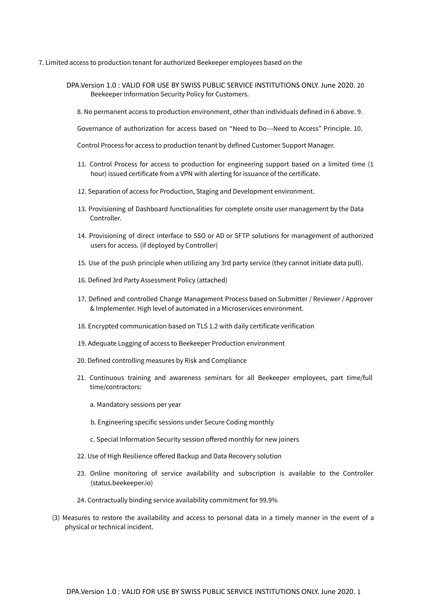- 7. Limited access to production tenant for authorized Beekeeper employees based on the
	- DPA.Version 1.0 : VALID FOR USE BY SWISS PUBLIC SERVICE INSTITUTIONS ONLY. June 2020. 20 Beekeeper Information Security Policy for Customers.
		- 8. No permanent access to production environment, other than individuals defined in 6 above. 9.

Governance of authorization for access based on "Need to Do---Need to Access" Principle. 10.

Control Process for access to production tenant by defined Customer Support Manager.

- 11. Control Process for access to production for engineering support based on a limited time (1 hour) issued certificate from a VPN with alerting for issuance of the certificate.
- 12. Separation of access for Production, Staging and Development environment.
- 13. Provisioning of Dashboard functionalities for complete onsite user management by the Data Controller.
- 14. Provisioning of direct interface to SSO or AD or SFTP solutions for management of authorized users for access. (if deployed by Controller)
- 15. Use of the push principle when utilizing any 3rd party service (they cannot initiate data pull).
- 16. Defined 3rd Party Assessment Policy (attached)
- 17. Defined and controlled Change Management Process based on Submitter / Reviewer / Approver & Implementer. High level of automated in a Microservices environment.
- 18. Encrypted communication based on TLS 1.2 with daily certificate verification
- 19. Adequate Logging of access to Beekeeper Production environment
- 20. Defined controlling measures by Risk and Compliance
- 21. Continuous training and awareness seminars for all Beekeeper employees, part time/full time/contractors:
	- a. Mandatory sessions per year
	- b. Engineering specific sessions under Secure Coding monthly
	- c. Special Information Security session offered monthly for new joiners
- 22. Use of High Resilience offered Backup and Data Recovery solution
- 23. Online monitoring of service availability and subscription is available to the Controller (status.beekeeper.io)
- 24. Contractually binding service availability commitment for 99.9%
- (3) Measures to restore the availability and access to personal data in a timely manner in the event of a physical or technical incident.